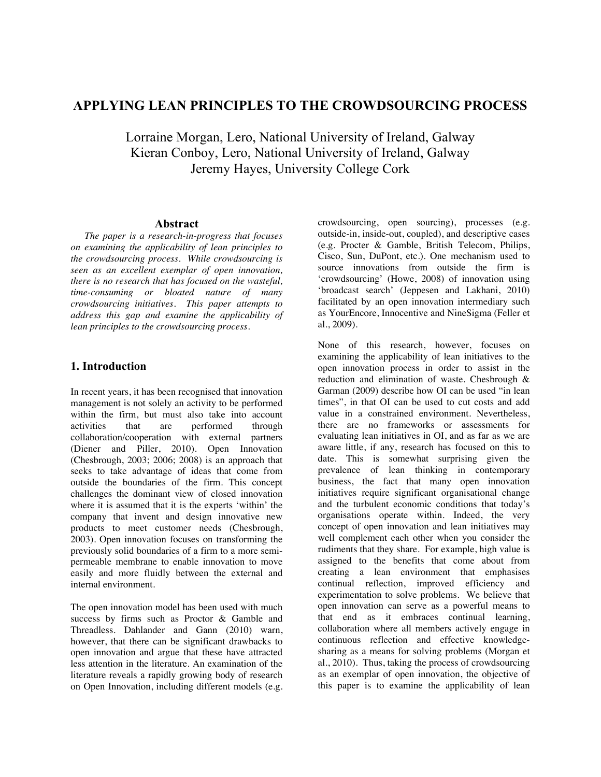# **APPLYING LEAN PRINCIPLES TO THE CROWDSOURCING PROCESS**

Lorraine Morgan, Lero, National University of Ireland, Galway Kieran Conboy, Lero, National University of Ireland, Galway Jeremy Hayes, University College Cork

#### **Abstract**

*The paper is a research-in-progress that focuses on examining the applicability of lean principles to the crowdsourcing process. While crowdsourcing is seen as an excellent exemplar of open innovation, there is no research that has focused on the wasteful, time-consuming or bloated nature of many crowdsourcing initiatives. This paper attempts to address this gap and examine the applicability of lean principles to the crowdsourcing process.* 

### **1. Introduction**

In recent years, it has been recognised that innovation management is not solely an activity to be performed within the firm, but must also take into account activities that are performed through performed through collaboration/cooperation with external partners (Diener and Piller, 2010). Open Innovation (Chesbrough, 2003; 2006; 2008) is an approach that seeks to take advantage of ideas that come from outside the boundaries of the firm. This concept challenges the dominant view of closed innovation where it is assumed that it is the experts 'within' the company that invent and design innovative new products to meet customer needs (Chesbrough, 2003). Open innovation focuses on transforming the previously solid boundaries of a firm to a more semipermeable membrane to enable innovation to move easily and more fluidly between the external and internal environment.

The open innovation model has been used with much success by firms such as Proctor & Gamble and Threadless. Dahlander and Gann (2010) warn, however, that there can be significant drawbacks to open innovation and argue that these have attracted less attention in the literature. An examination of the literature reveals a rapidly growing body of research on Open Innovation, including different models (e.g.

crowdsourcing, open sourcing), processes (e.g. outside-in, inside-out, coupled), and descriptive cases (e.g. Procter & Gamble, British Telecom, Philips, Cisco, Sun, DuPont, etc.). One mechanism used to source innovations from outside the firm is 'crowdsourcing' (Howe, 2008) of innovation using 'broadcast search' (Jeppesen and Lakhani, 2010) facilitated by an open innovation intermediary such as YourEncore, Innocentive and NineSigma (Feller et al., 2009).

None of this research, however, focuses on examining the applicability of lean initiatives to the open innovation process in order to assist in the reduction and elimination of waste. Chesbrough & Garman (2009) describe how OI can be used "in lean times", in that OI can be used to cut costs and add value in a constrained environment. Nevertheless, there are no frameworks or assessments for evaluating lean initiatives in OI, and as far as we are aware little, if any, research has focused on this to date. This is somewhat surprising given the prevalence of lean thinking in contemporary business, the fact that many open innovation initiatives require significant organisational change and the turbulent economic conditions that today's organisations operate within. Indeed, the very concept of open innovation and lean initiatives may well complement each other when you consider the rudiments that they share. For example, high value is assigned to the benefits that come about from creating a lean environment that emphasises continual reflection, improved efficiency and experimentation to solve problems. We believe that open innovation can serve as a powerful means to that end as it embraces continual learning, collaboration where all members actively engage in continuous reflection and effective knowledgesharing as a means for solving problems (Morgan et al., 2010). Thus, taking the process of crowdsourcing as an exemplar of open innovation, the objective of this paper is to examine the applicability of lean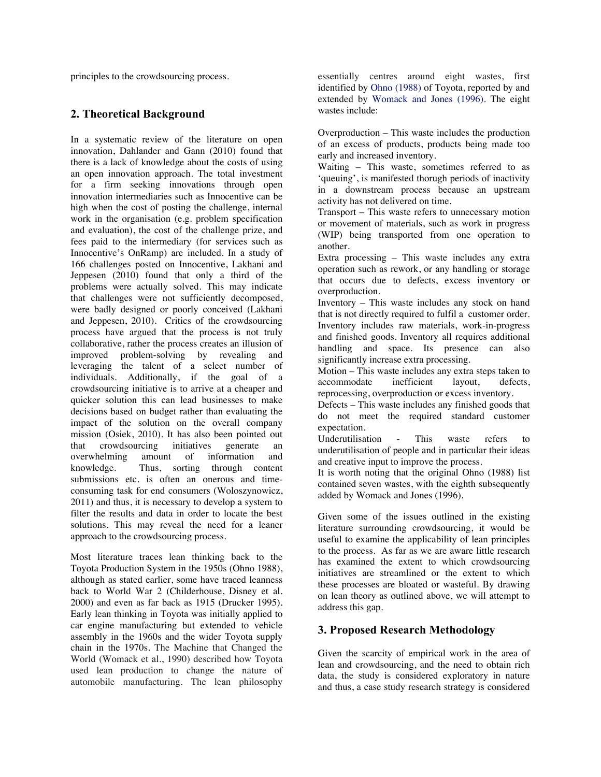principles to the crowdsourcing process.

### **2. Theoretical Background**

In a systematic review of the literature on open innovation, Dahlander and Gann (2010) found that there is a lack of knowledge about the costs of using an open innovation approach. The total investment for a firm seeking innovations through open innovation intermediaries such as Innocentive can be high when the cost of posting the challenge, internal work in the organisation (e.g. problem specification and evaluation), the cost of the challenge prize, and fees paid to the intermediary (for services such as Innocentive's OnRamp) are included. In a study of 166 challenges posted on Innocentive, Lakhani and Jeppesen (2010) found that only a third of the problems were actually solved. This may indicate that challenges were not sufficiently decomposed, were badly designed or poorly conceived (Lakhani and Jeppesen, 2010). Critics of the crowdsourcing process have argued that the process is not truly collaborative, rather the process creates an illusion of improved problem-solving by revealing and leveraging the talent of a select number of individuals. Additionally, if the goal of a crowdsourcing initiative is to arrive at a cheaper and quicker solution this can lead businesses to make decisions based on budget rather than evaluating the impact of the solution on the overall company mission (Osiek, 2010). It has also been pointed out that crowdsourcing initiatives generate an<br>overwhelming amount of information and overwhelming amount of information knowledge. Thus, sorting through content submissions etc. is often an onerous and timeconsuming task for end consumers (Woloszynowicz, 2011) and thus, it is necessary to develop a system to filter the results and data in order to locate the best solutions. This may reveal the need for a leaner approach to the crowdsourcing process.

Most literature traces lean thinking back to the Toyota Production System in the 1950s (Ohno 1988), although as stated earlier, some have traced leanness back to World War 2 (Childerhouse, Disney et al. 2000) and even as far back as 1915 (Drucker 1995). Early lean thinking in Toyota was initially applied to car engine manufacturing but extended to vehicle assembly in the 1960s and the wider Toyota supply chain in the 1970s. The Machine that Changed the World (Womack et al., 1990) described how Toyota used lean production to change the nature of automobile manufacturing. The lean philosophy

essentially centres around eight wastes, first identified by Ohno (1988) of Toyota, reported by and extended by Womack and Jones (1996). The eight wastes include:

Overproduction – This waste includes the production of an excess of products, products being made too early and increased inventory.

Waiting – This waste, sometimes referred to as 'queuing', is manifested thorugh periods of inactivity in a downstream process because an upstream activity has not delivered on time.

Transport – This waste refers to unnecessary motion or movement of materials, such as work in progress (WIP) being transported from one operation to another.

Extra processing – This waste includes any extra operation such as rework, or any handling or storage that occurs due to defects, excess inventory or overproduction.

Inventory – This waste includes any stock on hand that is not directly required to fulfil a customer order. Inventory includes raw materials, work-in-progress and finished goods. Inventory all requires additional handling and space. Its presence can also significantly increase extra processing.

Motion – This waste includes any extra steps taken to accommodate inefficient layout, defects, reprocessing, overproduction or excess inventory.

Defects – This waste includes any finished goods that do not meet the required standard customer expectation.

Underutilisation - This waste refers to underutilisation of people and in particular their ideas and creative input to improve the process.

It is worth noting that the original Ohno (1988) list contained seven wastes, with the eighth subsequently added by Womack and Jones (1996).

Given some of the issues outlined in the existing literature surrounding crowdsourcing, it would be useful to examine the applicability of lean principles to the process. As far as we are aware little research has examined the extent to which crowdsourcing initiatives are streamlined or the extent to which these processes are bloated or wasteful. By drawing on lean theory as outlined above, we will attempt to address this gap.

### **3. Proposed Research Methodology**

Given the scarcity of empirical work in the area of lean and crowdsourcing, and the need to obtain rich data, the study is considered exploratory in nature and thus, a case study research strategy is considered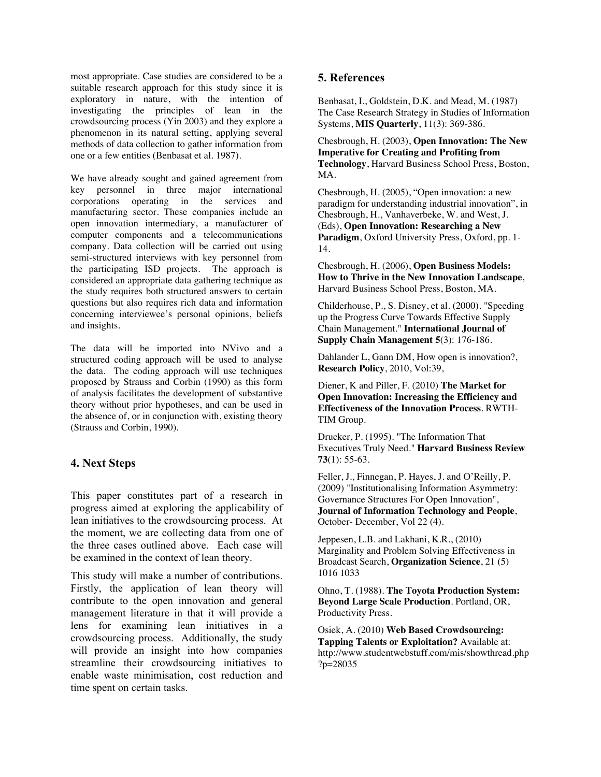most appropriate. Case studies are considered to be a suitable research approach for this study since it is exploratory in nature, with the intention of investigating the principles of lean in the crowdsourcing process (Yin 2003) and they explore a phenomenon in its natural setting, applying several methods of data collection to gather information from one or a few entities (Benbasat et al. 1987).

We have already sought and gained agreement from key personnel in three major international corporations operating in the services and manufacturing sector. These companies include an open innovation intermediary, a manufacturer of computer components and a telecommunications company. Data collection will be carried out using semi-structured interviews with key personnel from the participating ISD projects. The approach is considered an appropriate data gathering technique as the study requires both structured answers to certain questions but also requires rich data and information concerning interviewee's personal opinions, beliefs and insights.

The data will be imported into NVivo and a structured coding approach will be used to analyse the data. The coding approach will use techniques proposed by Strauss and Corbin (1990) as this form of analysis facilitates the development of substantive theory without prior hypotheses, and can be used in the absence of, or in conjunction with, existing theory (Strauss and Corbin, 1990).

## **4. Next Steps**

This paper constitutes part of a research in progress aimed at exploring the applicability of lean initiatives to the crowdsourcing process. At the moment, we are collecting data from one of the three cases outlined above. Each case will be examined in the context of lean theory.

This study will make a number of contributions. Firstly, the application of lean theory will contribute to the open innovation and general management literature in that it will provide a lens for examining lean initiatives in a crowdsourcing process. Additionally, the study will provide an insight into how companies streamline their crowdsourcing initiatives to enable waste minimisation, cost reduction and time spent on certain tasks.

## **5. References**

Benbasat, I., Goldstein, D.K. and Mead, M. (1987) The Case Research Strategy in Studies of Information Systems, **MIS Quarterly**, 11(3): 369-386.

Chesbrough, H. (2003), **Open Innovation: The New Imperative for Creating and Profiting from Technology**, Harvard Business School Press, Boston, MA.

Chesbrough, H. (2005), "Open innovation: a new paradigm for understanding industrial innovation", in Chesbrough, H., Vanhaverbeke, W. and West, J. (Eds), **Open Innovation: Researching a New Paradigm**, Oxford University Press, Oxford, pp. 1- 14.

Chesbrough, H. (2006), **Open Business Models: How to Thrive in the New Innovation Landscape**, Harvard Business School Press, Boston, MA.

Childerhouse, P., S. Disney, et al. (2000). "Speeding up the Progress Curve Towards Effective Supply Chain Management." **International Journal of Supply Chain Management 5**(3): 176-186.

Dahlander L, Gann DM, How open is innovation?, **Research Policy**, 2010, Vol:39,

Diener, K and Piller, F. (2010) **The Market for Open Innovation: Increasing the Efficiency and Effectiveness of the Innovation Process**. RWTH-TIM Group.

Drucker, P. (1995). "The Information That Executives Truly Need." **Harvard Business Review 73**(1): 55-63.

Feller, J., Finnegan, P. Hayes, J. and O'Reilly, P. (2009) "Institutionalising Information Asymmetry: Governance Structures For Open Innovation", **Journal of Information Technology and People**, October- December, Vol 22 (4).

Jeppesen, L.B. and Lakhani, K.R., (2010) Marginality and Problem Solving Effectiveness in Broadcast Search, **Organization Science**, 21 (5) 1016 1033

Ohno, T. (1988). **The Toyota Production System: Beyond Large Scale Production**. Portland, OR, Productivity Press.

Osiek, A. (2010) **Web Based Crowdsourcing: Tapping Talents or Exploitation?** Available at: http://www.studentwebstuff.com/mis/showthread.php ?p=28035